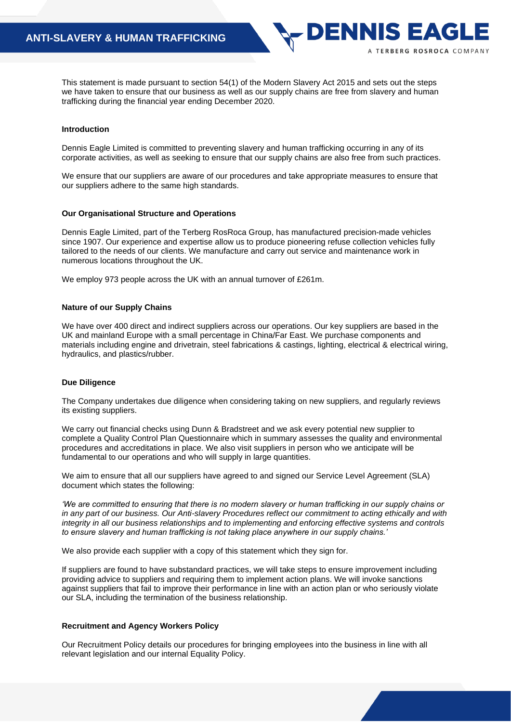This statement is made pursuant to section 54(1) of the Modern Slavery Act 2015 and sets out the steps we have taken to ensure that our business as well as our supply chains are free from slavery and human trafficking during the financial year ending December 2020.

DENNIS EAG

A TERBERG ROSROCA COMPANY

# **Introduction**

Dennis Eagle Limited is committed to preventing slavery and human trafficking occurring in any of its corporate activities, as well as seeking to ensure that our supply chains are also free from such practices*.*

We ensure that our suppliers are aware of our procedures and take appropriate measures to ensure that our suppliers adhere to the same high standards.

#### **Our Organisational Structure and Operations**

Dennis Eagle Limited, part of the Terberg RosRoca Group, has manufactured precision-made vehicles since 1907. Our experience and expertise allow us to produce pioneering refuse collection vehicles fully tailored to the needs of our clients. We manufacture and carry out service and maintenance work in numerous locations throughout the UK.

We employ 973 people across the UK with an annual turnover of £261m.

# **Nature of our Supply Chains**

We have over 400 direct and indirect suppliers across our operations. Our key suppliers are based in the UK and mainland Europe with a small percentage in China/Far East. We purchase components and materials including engine and drivetrain, steel fabrications & castings, lighting, electrical & electrical wiring, hydraulics, and plastics/rubber.

# **Due Diligence**

The Company undertakes due diligence when considering taking on new suppliers, and regularly reviews its existing suppliers.

We carry out financial checks using Dunn & Bradstreet and we ask every potential new supplier to complete a Quality Control Plan Questionnaire which in summary assesses the quality and environmental procedures and accreditations in place. We also visit suppliers in person who we anticipate will be fundamental to our operations and who will supply in large quantities.

We aim to ensure that all our suppliers have agreed to and signed our Service Level Agreement (SLA) document which states the following:

*'We are committed to ensuring that there is no modern slavery or human trafficking in our supply chains or in any part of our business. Our Anti-slavery Procedures reflect our commitment to acting ethically and with integrity in all our business relationships and to implementing and enforcing effective systems and controls to ensure slavery and human trafficking is not taking place anywhere in our supply chains.'*

We also provide each supplier with a copy of this statement which they sign for.

If suppliers are found to have substandard practices, we will take steps to ensure improvement including providing advice to suppliers and requiring them to implement action plans. We will invoke sanctions against suppliers that fail to improve their performance in line with an action plan or who seriously violate our SLA, including the termination of the business relationship.

# **Recruitment and Agency Workers Policy**

Our Recruitment Policy details our procedures for bringing employees into the business in line with all relevant legislation and our internal Equality Policy.